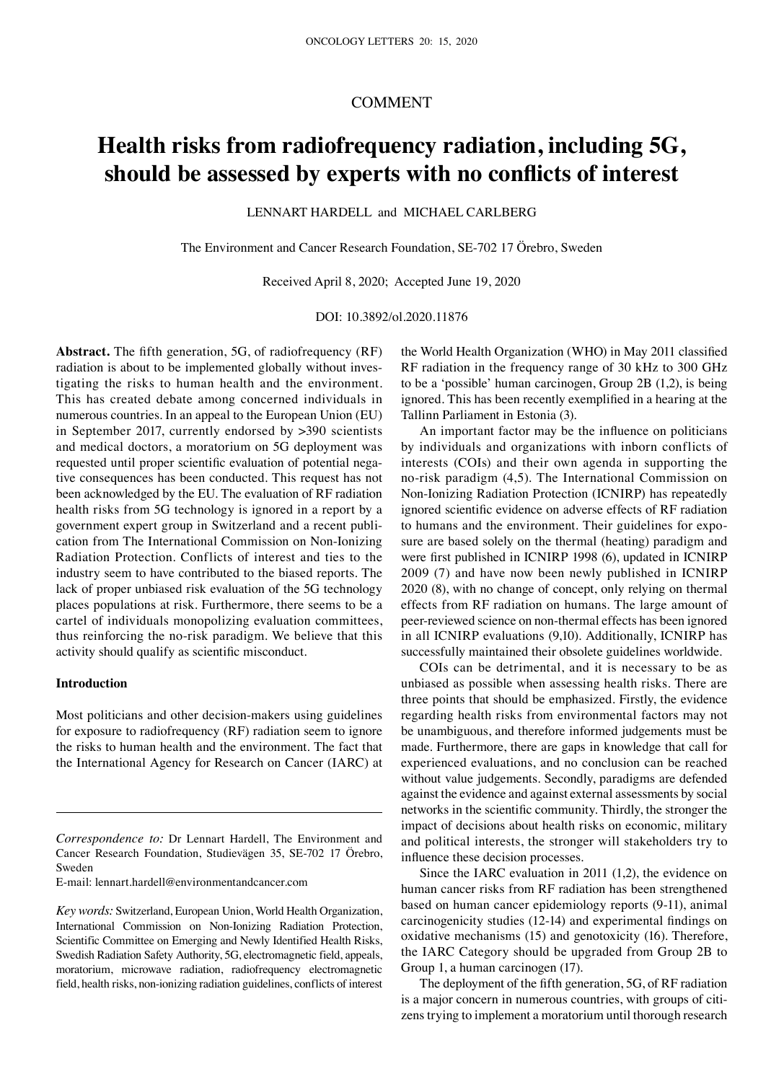## COMMENT

# **Health risks from radiofrequency radiation, including 5G, should be assessed by experts with no conflicts of interest**

LENNART HARDELL and MICHAEL CARLBERG

The Environment and Cancer Research Foundation, SE-702 17 Örebro, Sweden

Received April 8, 2020; Accepted June 19, 2020

DOI: 10.3892/ol.2020.11876

**Abstract.** The fifth generation, 5G, of radiofrequency (RF) radiation is about to be implemented globally without investigating the risks to human health and the environment. This has created debate among concerned individuals in numerous countries. In an appeal to the European Union (EU) in September 2017, currently endorsed by >390 scientists and medical doctors, a moratorium on 5G deployment was requested until proper scientific evaluation of potential negative consequences has been conducted. This request has not been acknowledged by the EU. The evaluation of RF radiation health risks from 5G technology is ignored in a report by a government expert group in Switzerland and a recent publication from The International Commission on Non-Ionizing Radiation Protection. Conflicts of interest and ties to the industry seem to have contributed to the biased reports. The lack of proper unbiased risk evaluation of the 5G technology places populations at risk. Furthermore, there seems to be a cartel of individuals monopolizing evaluation committees, thus reinforcing the no-risk paradigm. We believe that this activity should qualify as scientific misconduct.

## **Introduction**

Most politicians and other decision-makers using guidelines for exposure to radiofrequency (RF) radiation seem to ignore the risks to human health and the environment. The fact that the International Agency for Research on Cancer (IARC) at

E-mail: lennart.hardell@environmentandcancer.com

the World Health Organization (WHO) in May 2011 classified RF radiation in the frequency range of 30 kHz to 300 GHz to be a 'possible' human carcinogen, Group 2B (1,2), is being ignored. This has been recently exemplified in a hearing at the Tallinn Parliament in Estonia (3).

An important factor may be the influence on politicians by individuals and organizations with inborn conflicts of interests (COIs) and their own agenda in supporting the no-risk paradigm (4,5). The International Commission on Non-Ionizing Radiation Protection (ICNIRP) has repeatedly ignored scientific evidence on adverse effects of RF radiation to humans and the environment. Their guidelines for exposure are based solely on the thermal (heating) paradigm and were first published in ICNIRP 1998 (6), updated in ICNIRP 2009 (7) and have now been newly published in ICNIRP 2020 (8), with no change of concept, only relying on thermal effects from RF radiation on humans. The large amount of peer-reviewed science on non-thermal effects has been ignored in all ICNIRP evaluations (9,10). Additionally, ICNIRP has successfully maintained their obsolete guidelines worldwide.

COIs can be detrimental, and it is necessary to be as unbiased as possible when assessing health risks. There are three points that should be emphasized. Firstly, the evidence regarding health risks from environmental factors may not be unambiguous, and therefore informed judgements must be made. Furthermore, there are gaps in knowledge that call for experienced evaluations, and no conclusion can be reached without value judgements. Secondly, paradigms are defended against the evidence and against external assessments by social networks in the scientific community. Thirdly, the stronger the impact of decisions about health risks on economic, military and political interests, the stronger will stakeholders try to influence these decision processes.

Since the IARC evaluation in 2011 (1,2), the evidence on human cancer risks from RF radiation has been strengthened based on human cancer epidemiology reports (9-11), animal carcinogenicity studies (12-14) and experimental findings on oxidative mechanisms (15) and genotoxicity (16). Therefore, the IARC Category should be upgraded from Group 2B to Group 1, a human carcinogen (17).

The deployment of the fifth generation, 5G, of RF radiation is a major concern in numerous countries, with groups of citizens trying to implement a moratorium until thorough research

*Correspondence to:* Dr Lennart Hardell, The Environment and Cancer Research Foundation, Studievägen 35, SE-702 17 Örebro, Sweden

*Key words:* Switzerland, European Union, World Health Organization, International Commission on Non-Ionizing Radiation Protection, Scientific Committee on Emerging and Newly Identified Health Risks, Swedish Radiation Safety Authority, 5G, electromagnetic field, appeals, moratorium, microwave radiation, radiofrequency electromagnetic field, health risks, non-ionizing radiation guidelines, conflicts of interest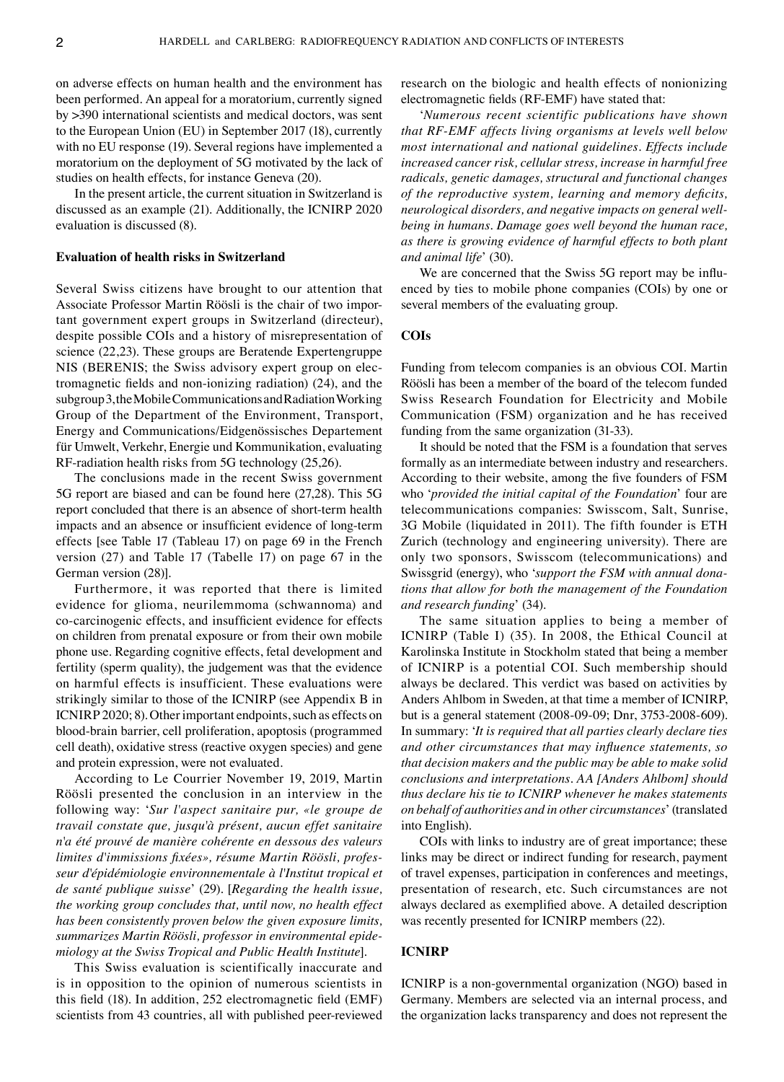on adverse effects on human health and the environment has been performed. An appeal for a moratorium, currently signed by >390 international scientists and medical doctors, was sent to the European Union (EU) in September 2017 (18), currently with no EU response (19). Several regions have implemented a moratorium on the deployment of 5G motivated by the lack of studies on health effects, for instance Geneva (20).

In the present article, the current situation in Switzerland is discussed as an example (21). Additionally, the ICNIRP 2020 evaluation is discussed (8).

## **Evaluation of health risks in Switzerland**

Several Swiss citizens have brought to our attention that Associate Professor Martin Röösli is the chair of two important government expert groups in Switzerland (directeur), despite possible COIs and a history of misrepresentation of science (22,23). These groups are Beratende Expertengruppe NIS (BERENIS; the Swiss advisory expert group on electromagnetic fields and non-ionizing radiation) (24), and the subgroup3, the Mobile Communications and Radiation Working Group of the Department of the Environment, Transport, Energy and Communications/Eidgenössisches Departement für Umwelt, Verkehr, Energie und Kommunikation, evaluating RF-radiation health risks from 5G technology (25,26).

The conclusions made in the recent Swiss government 5G report are biased and can be found here (27,28). This 5G report concluded that there is an absence of short-term health impacts and an absence or insufficient evidence of long-term effects [see Table 17 (Tableau 17) on page 69 in the French version (27) and Table 17 (Tabelle 17) on page 67 in the German version (28)].

Furthermore, it was reported that there is limited evidence for glioma, neurilemmoma (schwannoma) and co-carcinogenic effects, and insufficient evidence for effects on children from prenatal exposure or from their own mobile phone use. Regarding cognitive effects, fetal development and fertility (sperm quality), the judgement was that the evidence on harmful effects is insufficient. These evaluations were strikingly similar to those of the ICNIRP (see Appendix B in ICNIRP 2020; 8). Other important endpoints, such as effects on blood-brain barrier, cell proliferation, apoptosis (programmed cell death), oxidative stress (reactive oxygen species) and gene and protein expression, were not evaluated.

According to Le Courrier November 19, 2019, Martin Röösli presented the conclusion in an interview in the following way: '*Sur l'aspect sanitaire pur, «le groupe de travail constate que, jusqu'à présent, aucun effet sanitaire n'a été prouvé de manière cohérente en dessous des valeurs limites d'immissions fixées», résume Martin Röösli, professeur d'épidémiologie environnementale à l'Institut tropical et de santé publique suisse*' (29). [*Regarding the health issue, the working group concludes that, until now, no health effect has been consistently proven below the given exposure limits, summarizes Martin Röösli, professor in environmental epidemiology at the Swiss Tropical and Public Health Institute*].

This Swiss evaluation is scientifically inaccurate and is in opposition to the opinion of numerous scientists in this field (18). In addition, 252 electromagnetic field (EMF) scientists from 43 countries, all with published peer-reviewed research on the biologic and health effects of nonionizing electromagnetic fields (RF-EMF) have stated that:

'*Numerous recent scientific publications have shown that RF-EMF affects living organisms at levels well below most international and national guidelines. Effects include increased cancer risk, cellular stress, increase in harmful free radicals, genetic damages, structural and functional changes of the reproductive system, learning and memory deficits, neurological disorders, and negative impacts on general wellbeing in humans. Damage goes well beyond the human race, as there is growing evidence of harmful effects to both plant and animal life*' (30)*.*

We are concerned that the Swiss 5G report may be influenced by ties to mobile phone companies (COIs) by one or several members of the evaluating group.

#### **COIs**

Funding from telecom companies is an obvious COI. Martin Röösli has been a member of the board of the telecom funded Swiss Research Foundation for Electricity and Mobile Communication (FSM) organization and he has received funding from the same organization (31-33).

It should be noted that the FSM is a foundation that serves formally as an intermediate between industry and researchers. According to their website, among the five founders of FSM who '*provided the initial capital of the Foundation*' four are telecommunications companies: Swisscom, Salt, Sunrise, 3G Mobile (liquidated in 2011). The fifth founder is ETH Zurich (technology and engineering university). There are only two sponsors, Swisscom (telecommunications) and Swissgrid (energy), who '*support the FSM with annual donations that allow for both the management of the Foundation and research funding*' (34).

The same situation applies to being a member of ICNIRP (Table I) (35). In 2008, the Ethical Council at Karolinska Institute in Stockholm stated that being a member of ICNIRP is a potential COI. Such membership should always be declared. This verdict was based on activities by Anders Ahlbom in Sweden, at that time a member of ICNIRP, but is a general statement (2008-09-09; Dnr, 3753-2008-609). In summary: '*It is required that all parties clearly declare ties and other circumstances that may influence statements, so that decision makers and the public may be able to make solid conclusions and interpretations. AA [Anders Ahlbom] should thus declare his tie to ICNIRP whenever he makes statements on behalf of authorities and in other circumstances*'(translated into English).

COIs with links to industry are of great importance; these links may be direct or indirect funding for research, payment of travel expenses, participation in conferences and meetings, presentation of research, etc. Such circumstances are not always declared as exemplified above. A detailed description was recently presented for ICNIRP members (22).

## **ICNIRP**

ICNIRP is a non-governmental organization (NGO) based in Germany. Members are selected via an internal process, and the organization lacks transparency and does not represent the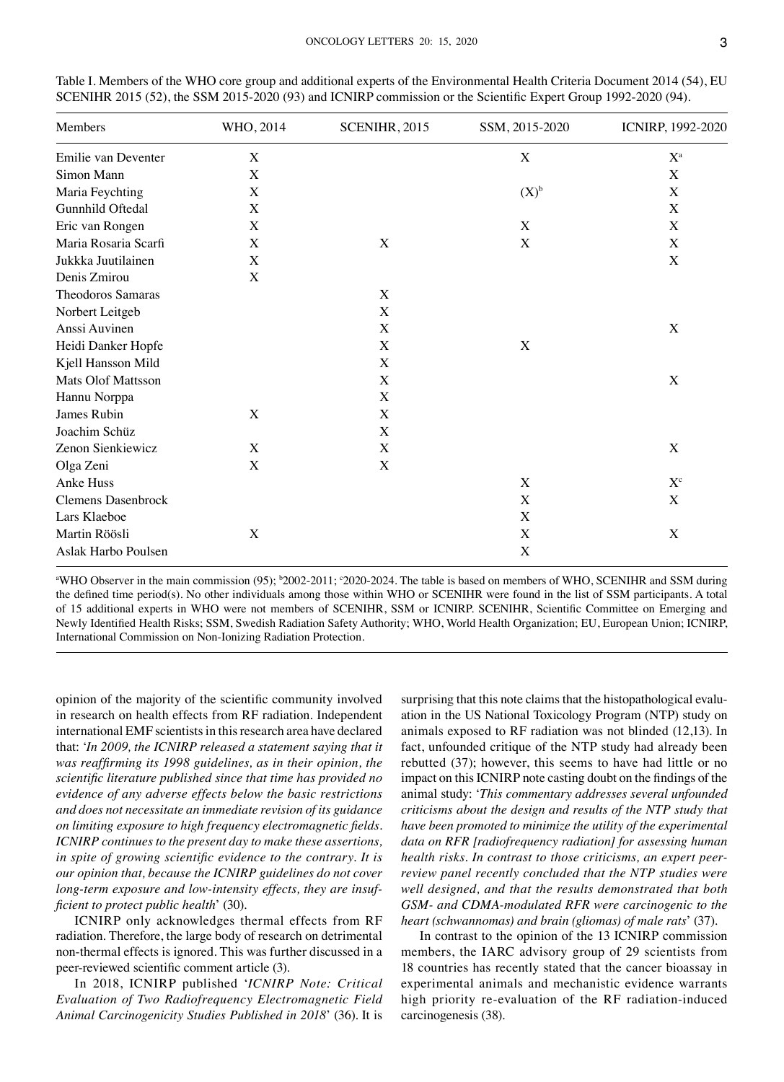| Members                   | WHO, 2014   | SCENIHR, 2015 | SSM, 2015-2020 | ICNIRP, 1992-2020       |
|---------------------------|-------------|---------------|----------------|-------------------------|
| Emilie van Deventer       | $\mathbf X$ |               | X              | $\mathbf{X}^{\text{a}}$ |
| Simon Mann                | X           |               |                | $\mathbf X$             |
| Maria Feychting           | X           |               | $(X)^{b}$      | X                       |
| Gunnhild Oftedal          | X           |               |                | X                       |
| Eric van Rongen           | X           |               | X              | X                       |
| Maria Rosaria Scarfi      | X           | X             | X              | X                       |
| Jukkka Juutilainen        | X           |               |                | X                       |
| Denis Zmirou              | X           |               |                |                         |
| Theodoros Samaras         |             | X             |                |                         |
| Norbert Leitgeb           |             | X             |                |                         |
| Anssi Auvinen             |             | X             |                | X                       |
| Heidi Danker Hopfe        |             | X             | X              |                         |
| Kjell Hansson Mild        |             | X             |                |                         |
| <b>Mats Olof Mattsson</b> |             | X             |                | X                       |
| Hannu Norppa              |             | X             |                |                         |
| James Rubin               | X           | X             |                |                         |
| Joachim Schüz             |             | X             |                |                         |
| Zenon Sienkiewicz         | X           | X             |                | X                       |
| Olga Zeni                 | X           | X             |                |                         |
| Anke Huss                 |             |               | $\mathbf X$    | $X^c$                   |
| <b>Clemens Dasenbrock</b> |             |               | X              | X                       |
| Lars Klaeboe              |             |               | X              |                         |
| Martin Röösli             | X           |               | X              | X                       |
| Aslak Harbo Poulsen       |             |               | X              |                         |

Table I. Members of the WHO core group and additional experts of the Environmental Health Criteria Document 2014 (54), EU SCENIHR 2015 (52), the SSM 2015-2020 (93) and ICNIRP commission or the Scientific Expert Group 1992-2020 (94).

<sup>a</sup>WHO Observer in the main commission (95); <sup>b</sup>2002-2011; °2020-2024. The table is based on members of WHO, SCENIHR and SSM during the defined time period(s). No other individuals among those within WHO or SCENIHR were found in the list of SSM participants. A total of 15 additional experts in WHO were not members of SCENIHR, SSM or ICNIRP. SCENIHR, Scientific Committee on Emerging and Newly Identified Health Risks; SSM, Swedish Radiation Safety Authority; WHO, World Health Organization; EU, European Union; ICNIRP, International Commission on Non-Ionizing Radiation Protection.

opinion of the majority of the scientific community involved in research on health effects from RF radiation. Independent international EMF scientists in this research area have declared that: '*In 2009, the ICNIRP released a statement saying that it was reaffirming its 1998 guidelines, as in their opinion, the scientific literature published since that time has provided no evidence of any adverse effects below the basic restrictions and does not necessitate an immediate revision of its guidance on limiting exposure to high frequency electromagnetic fields. ICNIRP continues to the present day to make these assertions, in spite of growing scientific evidence to the contrary. It is our opinion that, because the ICNIRP guidelines do not cover long-term exposure and low-intensity effects, they are insufficient to protect public health*' (30).

ICNIRP only acknowledges thermal effects from RF radiation. Therefore, the large body of research on detrimental non-thermal effects is ignored. This was further discussed in a peer-reviewed scientific comment article (3).

In 2018, ICNIRP published '*ICNIRP Note: Critical Evaluation of Two Radiofrequency Electromagnetic Field Animal Carcinogenicity Studies Published in 2018*' (36). It is

surprising that this note claims that the histopathological evaluation in the US National Toxicology Program (NTP) study on animals exposed to RF radiation was not blinded (12,13). In fact, unfounded critique of the NTP study had already been rebutted (37); however, this seems to have had little or no impact on this ICNIRP note casting doubt on the findings of the animal study: '*This commentary addresses several unfounded criticisms about the design and results of the NTP study that have been promoted to minimize the utility of the experimental data on RFR [radiofrequency radiation] for assessing human health risks. In contrast to those criticisms, an expert peerreview panel recently concluded that the NTP studies were well designed, and that the results demonstrated that both GSM- and CDMA-modulated RFR were carcinogenic to the heart (schwannomas) and brain (gliomas) of male rats*' (37).

In contrast to the opinion of the 13 ICNIRP commission members, the IARC advisory group of 29 scientists from 18 countries has recently stated that the cancer bioassay in experimental animals and mechanistic evidence warrants high priority re-evaluation of the RF radiation-induced carcinogenesis (38).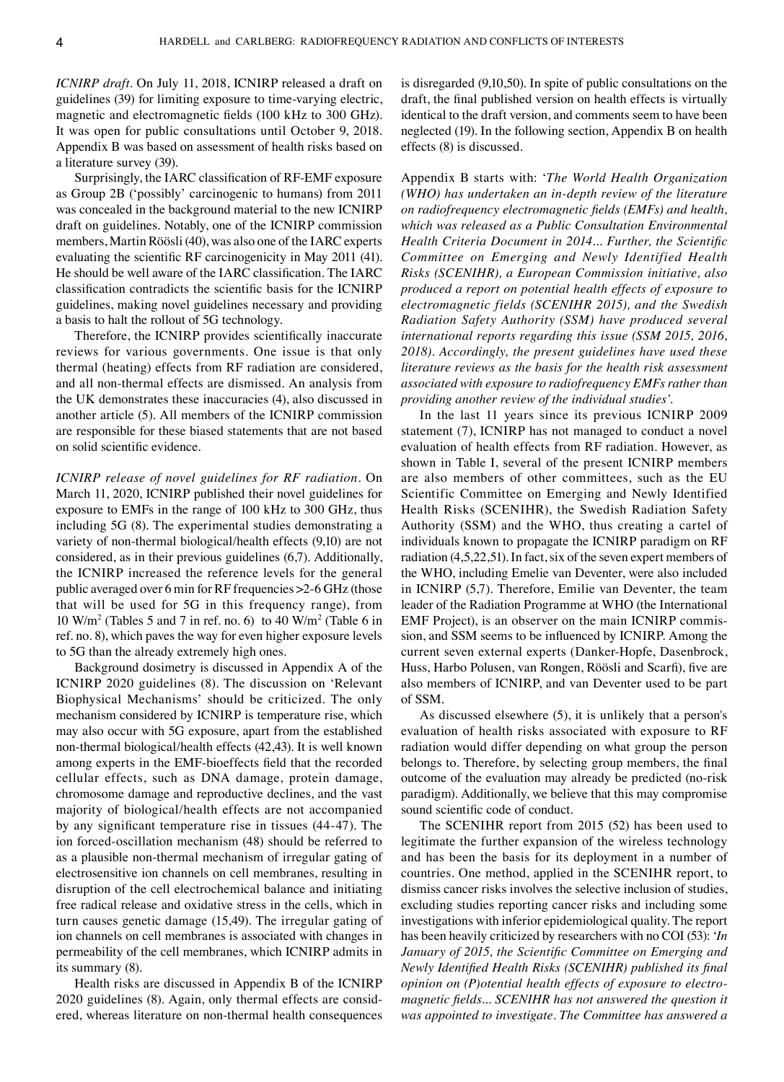*ICNIRP draft.* On July 11, 2018, ICNIRP released a draft on guidelines (39) for limiting exposure to time-varying electric, magnetic and electromagnetic fields (100 kHz to 300 GHz). It was open for public consultations until October 9, 2018. Appendix B was based on assessment of health risks based on a literature survey (39).

Surprisingly, the IARC classification of RF-EMF exposure as Group 2B ('possibly' carcinogenic to humans) from 2011 was concealed in the background material to the new ICNIRP draft on guidelines. Notably, one of the ICNIRP commission members, Martin Röösli (40), was also one of the IARC experts evaluating the scientific RF carcinogenicity in May 2011 (41). He should be well aware of the IARC classification. The IARC classification contradicts the scientific basis for the ICNIRP guidelines, making novel guidelines necessary and providing a basis to halt the rollout of 5G technology.

Therefore, the ICNIRP provides scientifically inaccurate reviews for various governments. One issue is that only thermal (heating) effects from RF radiation are considered, and all non-thermal effects are dismissed. An analysis from the UK demonstrates these inaccuracies (4), also discussed in another article (5). All members of the ICNIRP commission are responsible for these biased statements that are not based on solid scientific evidence.

*ICNIRP release of novel guidelines for RF radiation.* On March 11, 2020, ICNIRP published their novel guidelines for exposure to EMFs in the range of 100 kHz to 300 GHz, thus including 5G (8). The experimental studies demonstrating a variety of non-thermal biological/health effects (9,10) are not considered, as in their previous guidelines (6,7). Additionally, the ICNIRP increased the reference levels for the general public averaged over 6 min for RF frequencies >2-6 GHz (those that will be used for 5G in this frequency range), from  $10 \text{ W/m}^2$  (Tables 5 and 7 in ref. no. 6) to 40 W/m<sup>2</sup> (Table 6 in ref. no. 8), which paves the way for even higher exposure levels to 5G than the already extremely high ones.

Background dosimetry is discussed in Appendix A of the ICNIRP 2020 guidelines (8). The discussion on 'Relevant Biophysical Mechanisms' should be criticized. The only mechanism considered by ICNIRP is temperature rise, which may also occur with 5G exposure, apart from the established non-thermal biological/health effects (42,43). It is well known among experts in the EMF-bioeffects field that the recorded cellular effects, such as DNA damage, protein damage, chromosome damage and reproductive declines, and the vast majority of biological/health effects are not accompanied by any significant temperature rise in tissues (44-47). The ion forced-oscillation mechanism (48) should be referred to as a plausible non-thermal mechanism of irregular gating of electrosensitive ion channels on cell membranes, resulting in disruption of the cell electrochemical balance and initiating free radical release and oxidative stress in the cells, which in turn causes genetic damage (15,49). The irregular gating of ion channels on cell membranes is associated with changes in permeability of the cell membranes, which ICNIRP admits in its summary (8).

Health risks are discussed in Appendix B of the ICNIRP 2020 guidelines (8). Again, only thermal effects are considered, whereas literature on non-thermal health consequences is disregarded (9,10,50). In spite of public consultations on the draft, the final published version on health effects is virtually identical to the draft version, and comments seem to have been neglected (19). In the following section, Appendix B on health effects (8) is discussed.

Appendix B starts with: '*The World Health Organization (WHO) has undertaken an in-depth review of the literature on radiofrequency electromagnetic fields (EMFs) and health, which was released as a Public Consultation Environmental Health Criteria Document in 2014... Further, the Scientific Committee on Emerging and Newly Identified Health Risks (SCENIHR), a European Commission initiative, also produced a report on potential health effects of exposure to electromagnetic fields (SCENIHR 2015), and the Swedish Radiation Safety Authority (SSM) have produced several international reports regarding this issue (SSM 2015, 2016, 2018). Accordingly, the present guidelines have used these literature reviews as the basis for the health risk assessment associated with exposure to radiofrequency EMFs rather than providing another review of the individual studies'.*

In the last 11 years since its previous ICNIRP 2009 statement (7), ICNIRP has not managed to conduct a novel evaluation of health effects from RF radiation. However, as shown in Table I, several of the present ICNIRP members are also members of other committees, such as the EU Scientific Committee on Emerging and Newly Identified Health Risks (SCENIHR), the Swedish Radiation Safety Authority (SSM) and the WHO, thus creating a cartel of individuals known to propagate the ICNIRP paradigm on RF radiation (4,5,22,51). In fact, six of the seven expert members of the WHO, including Emelie van Deventer, were also included in ICNIRP (5,7). Therefore, Emilie van Deventer, the team leader of the Radiation Programme at WHO (the International EMF Project), is an observer on the main ICNIRP commission, and SSM seems to be influenced by ICNIRP. Among the current seven external experts (Danker-Hopfe, Dasenbrock, Huss, Harbo Polusen, van Rongen, Röösli and Scarfi), five are also members of ICNIRP, and van Deventer used to be part of SSM.

As discussed elsewhere (5), it is unlikely that a person's evaluation of health risks associated with exposure to RF radiation would differ depending on what group the person belongs to. Therefore, by selecting group members, the final outcome of the evaluation may already be predicted (no-risk paradigm). Additionally, we believe that this may compromise sound scientific code of conduct.

The SCENIHR report from 2015 (52) has been used to legitimate the further expansion of the wireless technology and has been the basis for its deployment in a number of countries. One method, applied in the SCENIHR report, to dismiss cancer risks involves the selective inclusion of studies, excluding studies reporting cancer risks and including some investigations with inferior epidemiological quality. The report has been heavily criticized by researchers with no COI (53): '*In January of 2015, the Scientific Committee on Emerging and Newly Identified Health Risks (SCENIHR) published its final opinion on (P)otential health effects of exposure to electromagnetic fields... SCENIHR has not answered the question it was appointed to investigate. The Committee has answered a*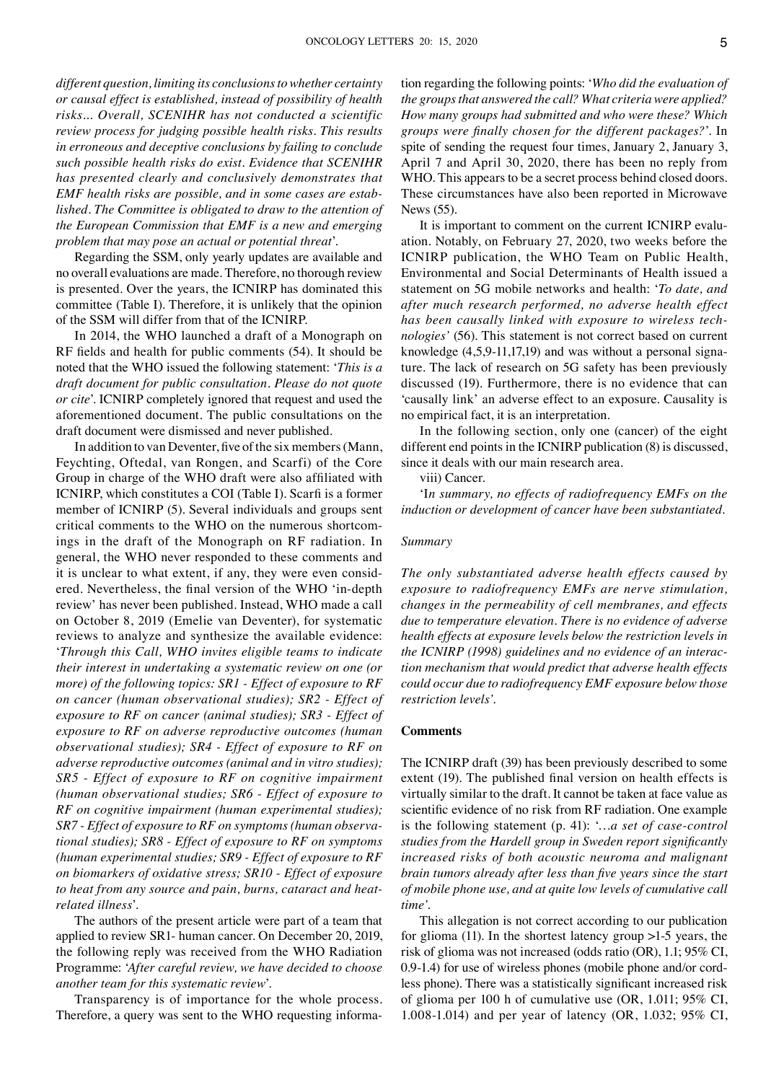*different question, limiting its conclusions to whether certainty or causal effect is established, instead of possibility of health risks... Overall, SCENIHR has not conducted a scientific review process for judging possible health risks. This results in erroneous and deceptive conclusions by failing to conclude such possible health risks do exist. Evidence that SCENIHR has presented clearly and conclusively demonstrates that EMF health risks are possible, and in some cases are established. The Committee is obligated to draw to the attention of the European Commission that EMF is a new and emerging problem that may pose an actual or potential threat*'.

Regarding the SSM, only yearly updates are available and no overall evaluations are made. Therefore, no thorough review is presented. Over the years, the ICNIRP has dominated this committee (Table I). Therefore, it is unlikely that the opinion of the SSM will differ from that of the ICNIRP.

In 2014, the WHO launched a draft of a Monograph on RF fields and health for public comments (54). It should be noted that the WHO issued the following statement: '*This is a draft document for public consultation. Please do not quote or cite*'. ICNIRP completely ignored that request and used the aforementioned document. The public consultations on the draft document were dismissed and never published.

In addition to van Deventer, five of the six members(Mann, Feychting, Oftedal, van Rongen, and Scarfi) of the Core Group in charge of the WHO draft were also affiliated with ICNIRP, which constitutes a COI (Table I). Scarfi is a former member of ICNIRP (5). Several individuals and groups sent critical comments to the WHO on the numerous shortcomings in the draft of the Monograph on RF radiation. In general, the WHO never responded to these comments and it is unclear to what extent, if any, they were even considered. Nevertheless, the final version of the WHO 'in-depth review' has never been published. Instead, WHO made a call on October 8, 2019 (Emelie van Deventer), for systematic reviews to analyze and synthesize the available evidence: '*Through this Call, WHO invites eligible teams to indicate their interest in undertaking a systematic review on one (or more) of the following topics: SR1 - Effect of exposure to RF on cancer (human observational studies); SR2 - Effect of exposure to RF on cancer (animal studies); SR3 - Effect of exposure to RF on adverse reproductive outcomes (human observational studies); SR4 - Effect of exposure to RF on adverse reproductive outcomes (animal and in vitro studies); SR5 - Effect of exposure to RF on cognitive impairment (human observational studies; SR6 - Effect of exposure to RF on cognitive impairment (human experimental studies); SR7 - Effect of exposure to RF on symptoms (human observational studies); SR8 - Effect of exposure to RF on symptoms (human experimental studies; SR9 - Effect of exposure to RF on biomarkers of oxidative stress; SR10 - Effect of exposure to heat from any source and pain, burns, cataract and heatrelated illness*'.

The authors of the present article were part of a team that applied to review SR1- human cancer. On December 20, 2019, the following reply was received from the WHO Radiation Programme: '*After careful review, we have decided to choose another team for this systematic review*'.

Transparency is of importance for the whole process. Therefore, a query was sent to the WHO requesting information regarding the following points: '*Who did the evaluation of the groups that answered the call? What criteria were applied? How many groups had submitted and who were these? Which groups were finally chosen for the different packages?*'. In spite of sending the request four times, January 2, January 3, April 7 and April 30, 2020, there has been no reply from WHO. This appears to be a secret process behind closed doors. These circumstances have also been reported in Microwave News (55).

It is important to comment on the current ICNIRP evaluation. Notably, on February 27, 2020, two weeks before the ICNIRP publication, the WHO Team on Public Health, Environmental and Social Determinants of Health issued a statement on 5G mobile networks and health: '*To date, and after much research performed, no adverse health effect has been causally linked with exposure to wireless technologies'* (56). This statement is not correct based on current knowledge (4,5,9-11,17,19) and was without a personal signature. The lack of research on 5G safety has been previously discussed (19). Furthermore, there is no evidence that can 'causally link' an adverse effect to an exposure. Causality is no empirical fact, it is an interpretation.

In the following section, only one (cancer) of the eight different end points in the ICNIRP publication (8) is discussed, since it deals with our main research area.

viii) Cancer.

'I*n summary, no effects of radiofrequency EMFs on the induction or development of cancer have been substantiated*.

#### *Summary*

*The only substantiated adverse health effects caused by exposure to radiofrequency EMFs are nerve stimulation, changes in the permeability of cell membranes, and effects due to temperature elevation. There is no evidence of adverse health effects at exposure levels below the restriction levels in the ICNIRP (1998) guidelines and no evidence of an interaction mechanism that would predict that adverse health effects could occur due to radiofrequency EMF exposure below those restriction levels'.*

#### **Comments**

The ICNIRP draft (39) has been previously described to some extent (19). The published final version on health effects is virtually similar to the draft. It cannot be taken at face value as scientific evidence of no risk from RF radiation. One example is the following statement (p. 41): '*…a set of case-control studies from the Hardell group in Sweden report significantly increased risks of both acoustic neuroma and malignant brain tumors already after less than five years since the start of mobile phone use, and at quite low levels of cumulative call time'.*

This allegation is not correct according to our publication for glioma (11). In the shortest latency group >1-5 years, the risk of glioma was not increased (odds ratio (OR), 1.1; 95% CI, 0.9-1.4) for use of wireless phones (mobile phone and/or cordless phone). There was a statistically significant increased risk of glioma per 100 h of cumulative use (OR, 1.011; 95% CI, 1.008-1.014) and per year of latency (OR, 1.032; 95% CI,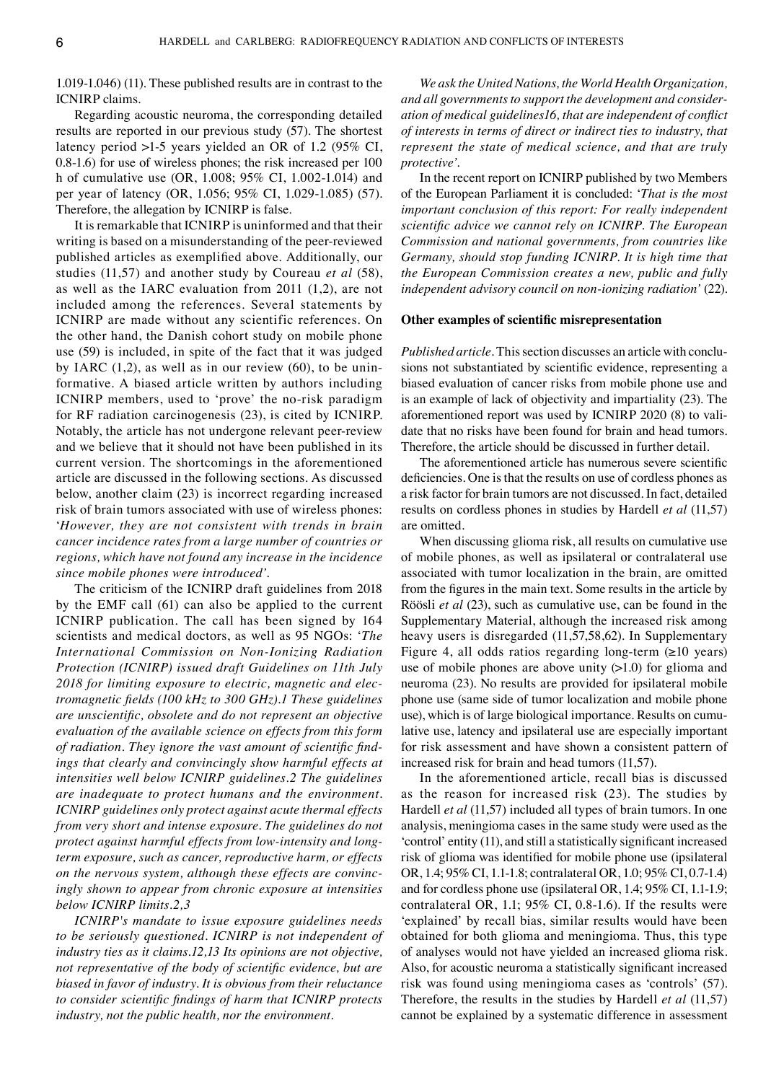1.019-1.046) (11). These published results are in contrast to the ICNIRP claims.

Regarding acoustic neuroma, the corresponding detailed results are reported in our previous study (57). The shortest latency period >1-5 years yielded an OR of 1.2 (95% CI, 0.8-1.6) for use of wireless phones; the risk increased per 100 h of cumulative use (OR, 1.008; 95% CI, 1.002-1.014) and per year of latency (OR, 1.056; 95% CI, 1.029-1.085) (57). Therefore, the allegation by ICNIRP is false.

It is remarkable that ICNIRP is uninformed and that their writing is based on a misunderstanding of the peer-reviewed published articles as exemplified above. Additionally, our studies (11,57) and another study by Coureau *et al* (58), as well as the IARC evaluation from 2011 (1,2), are not included among the references. Several statements by ICNIRP are made without any scientific references. On the other hand, the Danish cohort study on mobile phone use (59) is included, in spite of the fact that it was judged by IARC  $(1,2)$ , as well as in our review  $(60)$ , to be uninformative. A biased article written by authors including ICNIRP members, used to 'prove' the no-risk paradigm for RF radiation carcinogenesis (23), is cited by ICNIRP. Notably, the article has not undergone relevant peer-review and we believe that it should not have been published in its current version. The shortcomings in the aforementioned article are discussed in the following sections. As discussed below, another claim (23) is incorrect regarding increased risk of brain tumors associated with use of wireless phones: '*However, they are not consistent with trends in brain cancer incidence rates from a large number of countries or regions, which have not found any increase in the incidence since mobile phones were introduced'.*

The criticism of the ICNIRP draft guidelines from 2018 by the EMF call (61) can also be applied to the current ICNIRP publication. The call has been signed by 164 scientists and medical doctors, as well as 95 NGOs: '*The International Commission on Non-Ionizing Radiation Protection (ICNIRP) issued draft Guidelines on 11th July 2018 for limiting exposure to electric, magnetic and electromagnetic fields (100 kHz to 300 GHz).1 These guidelines are unscientific, obsolete and do not represent an objective evaluation of the available science on effects from this form of radiation. They ignore the vast amount of scientific findings that clearly and convincingly show harmful effects at intensities well below ICNIRP guidelines.2 The guidelines are inadequate to protect humans and the environment. ICNIRP guidelines only protect against acute thermal effects from very short and intense exposure. The guidelines do not protect against harmful effects from low-intensity and longterm exposure, such as cancer, reproductive harm, or effects on the nervous system, although these effects are convincingly shown to appear from chronic exposure at intensities below ICNIRP limits.2,3*

*ICNIRP's mandate to issue exposure guidelines needs to be seriously questioned. ICNIRP is not independent of industry ties as it claims.12,13 Its opinions are not objective, not representative of the body of scientific evidence, but are biased in favor of industry. It is obvious from their reluctance to consider scientific findings of harm that ICNIRP protects industry, not the public health, nor the environment.*

*We ask the United Nations, the World Health Organization, and all governments to support the development and consideration of medical guidelines16, that are independent of conflict of interests in terms of direct or indirect ties to industry, that represent the state of medical science, and that are truly protective'.*

In the recent report on ICNIRP published by two Members of the European Parliament it is concluded: '*That is the most important conclusion of this report: For really independent scientific advice we cannot rely on ICNIRP. The European Commission and national governments, from countries like Germany, should stop funding ICNIRP. It is high time that the European Commission creates a new, public and fully independent advisory council on non-ionizing radiation'* (22).

### **Other examples of scientific misrepresentation**

*Published article.* This section discusses an article with conclusions not substantiated by scientific evidence, representing a biased evaluation of cancer risks from mobile phone use and is an example of lack of objectivity and impartiality (23). The aforementioned report was used by ICNIRP 2020 (8) to validate that no risks have been found for brain and head tumors. Therefore, the article should be discussed in further detail.

The aforementioned article has numerous severe scientific deficiencies. One is that the results on use of cordless phones as a risk factor for brain tumors are not discussed. In fact, detailed results on cordless phones in studies by Hardell *et al* (11,57) are omitted.

When discussing glioma risk, all results on cumulative use of mobile phones, as well as ipsilateral or contralateral use associated with tumor localization in the brain, are omitted from the figures in the main text. Some results in the article by Röösli *et al* (23), such as cumulative use, can be found in the Supplementary Material, although the increased risk among heavy users is disregarded (11,57,58,62). In Supplementary Figure 4, all odds ratios regarding long-term  $(\geq 10$  years) use of mobile phones are above unity  $(>1.0)$  for glioma and neuroma (23). No results are provided for ipsilateral mobile phone use (same side of tumor localization and mobile phone use), which is of large biological importance. Results on cumulative use, latency and ipsilateral use are especially important for risk assessment and have shown a consistent pattern of increased risk for brain and head tumors (11,57).

In the aforementioned article, recall bias is discussed as the reason for increased risk (23). The studies by Hardell *et al* (11,57) included all types of brain tumors. In one analysis, meningioma cases in the same study were used as the 'control' entity (11), and still a statistically significant increased risk of glioma was identified for mobile phone use (ipsilateral OR, 1.4; 95% CI, 1.1-1.8; contralateral OR, 1.0; 95% CI, 0.7-1.4) and for cordless phone use (ipsilateral OR, 1.4; 95% CI, 1.1-1.9; contralateral OR, 1.1; 95% CI, 0.8-1.6). If the results were 'explained' by recall bias, similar results would have been obtained for both glioma and meningioma. Thus, this type of analyses would not have yielded an increased glioma risk. Also, for acoustic neuroma a statistically significant increased risk was found using meningioma cases as 'controls' (57). Therefore, the results in the studies by Hardell *et al* (11,57) cannot be explained by a systematic difference in assessment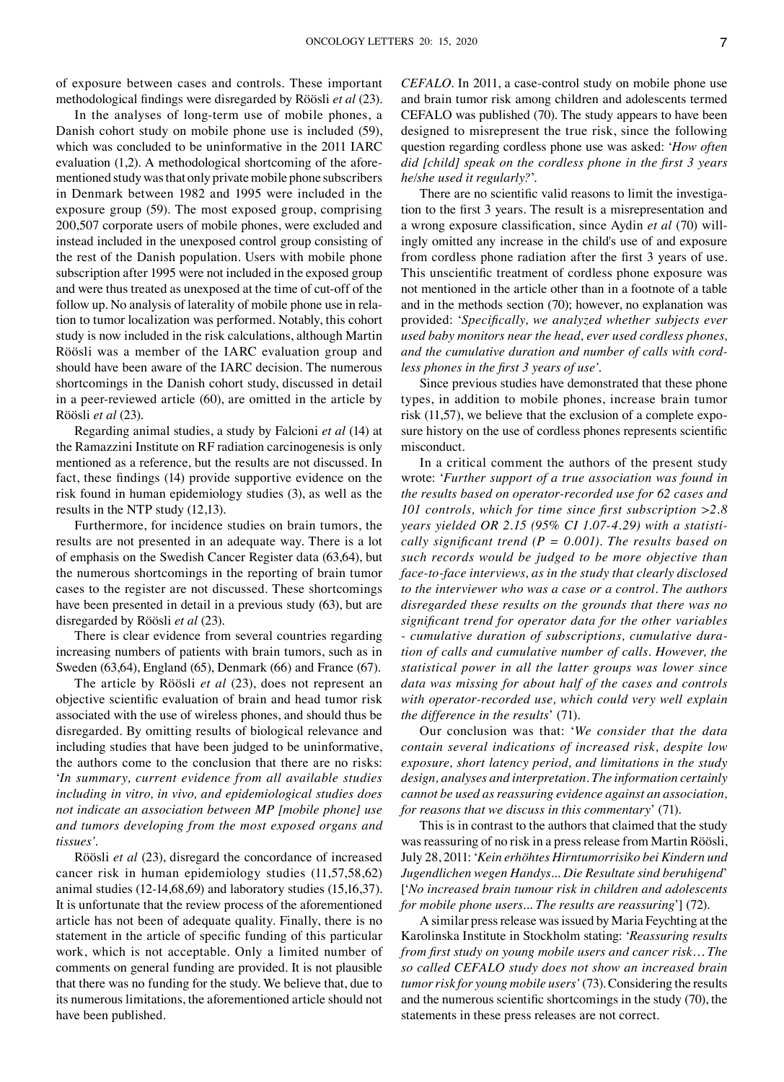of exposure between cases and controls. These important methodological findings were disregarded by Röösli *et al* (23).

In the analyses of long-term use of mobile phones, a Danish cohort study on mobile phone use is included (59), which was concluded to be uninformative in the 2011 IARC evaluation (1,2). A methodological shortcoming of the aforementioned study was that only private mobile phone subscribers in Denmark between 1982 and 1995 were included in the exposure group (59). The most exposed group, comprising 200,507 corporate users of mobile phones, were excluded and instead included in the unexposed control group consisting of the rest of the Danish population. Users with mobile phone subscription after 1995 were not included in the exposed group and were thus treated as unexposed at the time of cut-off of the follow up. No analysis of laterality of mobile phone use in relation to tumor localization was performed. Notably, this cohort study is now included in the risk calculations, although Martin Röösli was a member of the IARC evaluation group and should have been aware of the IARC decision. The numerous shortcomings in the Danish cohort study, discussed in detail in a peer-reviewed article (60), are omitted in the article by Röösli *et al* (23).

Regarding animal studies, a study by Falcioni *et al* (14) at the Ramazzini Institute on RF radiation carcinogenesis is only mentioned as a reference, but the results are not discussed. In fact, these findings (14) provide supportive evidence on the risk found in human epidemiology studies (3), as well as the results in the NTP study (12,13).

Furthermore, for incidence studies on brain tumors, the results are not presented in an adequate way. There is a lot of emphasis on the Swedish Cancer Register data (63,64), but the numerous shortcomings in the reporting of brain tumor cases to the register are not discussed. These shortcomings have been presented in detail in a previous study (63), but are disregarded by Röösli *et al* (23).

There is clear evidence from several countries regarding increasing numbers of patients with brain tumors, such as in Sweden (63,64), England (65), Denmark (66) and France (67).

The article by Röösli *et al* (23), does not represent an objective scientific evaluation of brain and head tumor risk associated with the use of wireless phones, and should thus be disregarded. By omitting results of biological relevance and including studies that have been judged to be uninformative, the authors come to the conclusion that there are no risks: '*In summary, current evidence from all available studies including in vitro, in vivo, and epidemiological studies does not indicate an association between MP [mobile phone] use and tumors developing from the most exposed organs and tissues'.*

Röösli *et al* (23), disregard the concordance of increased cancer risk in human epidemiology studies (11,57,58,62) animal studies (12-14,68,69) and laboratory studies (15,16,37). It is unfortunate that the review process of the aforementioned article has not been of adequate quality. Finally, there is no statement in the article of specific funding of this particular work, which is not acceptable. Only a limited number of comments on general funding are provided. It is not plausible that there was no funding for the study. We believe that, due to its numerous limitations, the aforementioned article should not have been published.

*CEFALO.* In 2011, a case-control study on mobile phone use and brain tumor risk among children and adolescents termed CEFALO was published (70). The study appears to have been designed to misrepresent the true risk, since the following question regarding cordless phone use was asked: '*How often did [child] speak on the cordless phone in the first 3 years he/she used it regularly?*'.

There are no scientific valid reasons to limit the investigation to the first 3 years. The result is a misrepresentation and a wrong exposure classification, since Aydin *et al* (70) willingly omitted any increase in the child's use of and exposure from cordless phone radiation after the first 3 years of use. This unscientific treatment of cordless phone exposure was not mentioned in the article other than in a footnote of a table and in the methods section (70); however, no explanation was provided: '*Specifically, we analyzed whether subjects ever used baby monitors near the head, ever used cordless phones, and the cumulative duration and number of calls with cordless phones in the first 3 years of use'.*

Since previous studies have demonstrated that these phone types, in addition to mobile phones, increase brain tumor risk (11,57), we believe that the exclusion of a complete exposure history on the use of cordless phones represents scientific misconduct.

In a critical comment the authors of the present study wrote: '*Further support of a true association was found in the results based on operator-recorded use for 62 cases and 101 controls, which for time since first subscription >2.8 years yielded OR 2.15 (95% CI 1.07-4.29) with a statistically significant trend (P = 0.001). The results based on such records would be judged to be more objective than face-to-face interviews, as in the study that clearly disclosed to the interviewer who was a case or a control. The authors disregarded these results on the grounds that there was no significant trend for operator data for the other variables - cumulative duration of subscriptions, cumulative duration of calls and cumulative number of calls. However, the statistical power in all the latter groups was lower since data was missing for about half of the cases and controls with operator-recorded use, which could very well explain the difference in the results*' (71).

Our conclusion was that: '*We consider that the data contain several indications of increased risk, despite low exposure, short latency period, and limitations in the study design, analyses and interpretation. The information certainly cannot be used as reassuring evidence against an association, for reasons that we discuss in this commentary*' (71).

This is in contrast to the authors that claimed that the study was reassuring of no risk in a press release from Martin Röösli, July 28, 2011: '*Kein erhöhtes Hirntumorrisiko bei Kindern und Jugendlichen wegen Handys... Die Resultate sind beruhigend*' ['*No increased brain tumour risk in children and adolescents for mobile phone users... The results are reassuring*'] (72).

A similar press release was issued by Maria Feychting at the Karolinska Institute in Stockholm stating: '*Reassuring results from first study on young mobile users and cancer risk… The so called CEFALO study does not show an increased brain tumor risk for young mobile users'* (73). Considering the results and the numerous scientific shortcomings in the study (70), the statements in these press releases are not correct.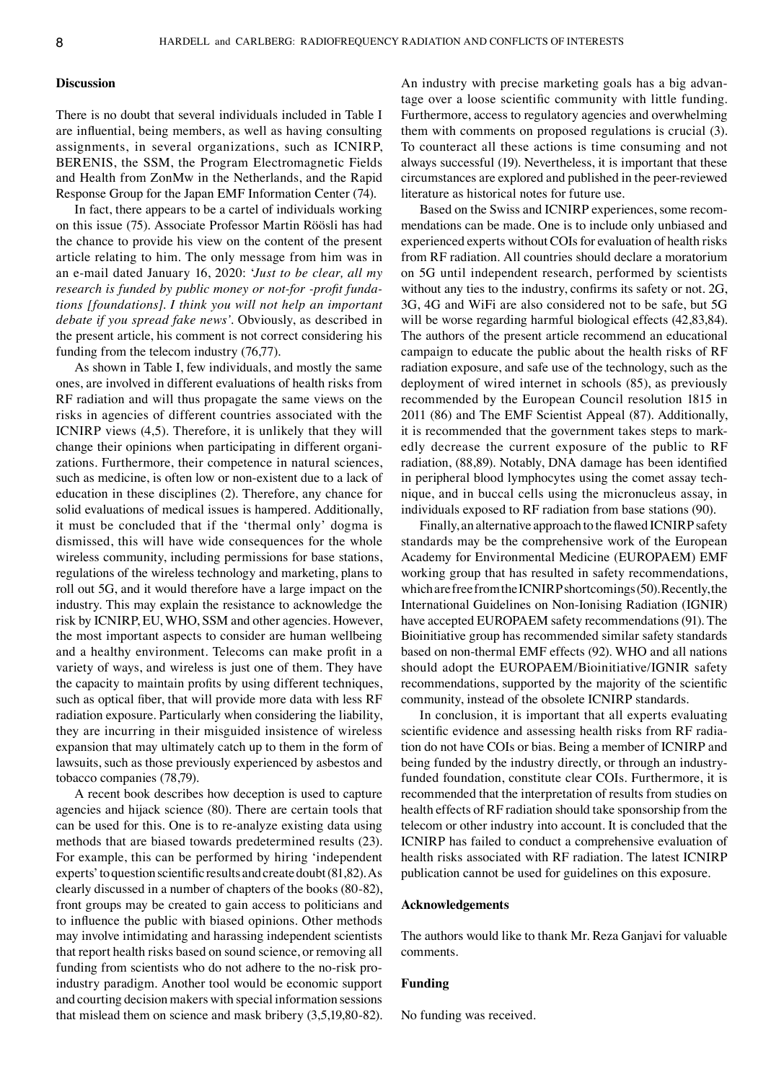### **Discussion**

There is no doubt that several individuals included in Table I are influential, being members, as well as having consulting assignments, in several organizations, such as ICNIRP, BERENIS, the SSM, the Program Electromagnetic Fields and Health from ZonMw in the Netherlands, and the Rapid Response Group for the Japan EMF Information Center (74).

In fact, there appears to be a cartel of individuals working on this issue (75). Associate Professor Martin Röösli has had the chance to provide his view on the content of the present article relating to him. The only message from him was in an e-mail dated January 16, 2020: '*Just to be clear, all my research is funded by public money or not-for -profit fundations [foundations]. I think you will not help an important debate if you spread fake news'.* Obviously, as described in the present article, his comment is not correct considering his funding from the telecom industry (76,77).

As shown in Table I, few individuals, and mostly the same ones, are involved in different evaluations of health risks from RF radiation and will thus propagate the same views on the risks in agencies of different countries associated with the ICNIRP views (4,5). Therefore, it is unlikely that they will change their opinions when participating in different organizations. Furthermore, their competence in natural sciences, such as medicine, is often low or non-existent due to a lack of education in these disciplines (2). Therefore, any chance for solid evaluations of medical issues is hampered. Additionally, it must be concluded that if the 'thermal only' dogma is dismissed, this will have wide consequences for the whole wireless community, including permissions for base stations, regulations of the wireless technology and marketing, plans to roll out 5G, and it would therefore have a large impact on the industry. This may explain the resistance to acknowledge the risk by ICNIRP, EU, WHO, SSM and other agencies. However, the most important aspects to consider are human wellbeing and a healthy environment. Telecoms can make profit in a variety of ways, and wireless is just one of them. They have the capacity to maintain profits by using different techniques, such as optical fiber, that will provide more data with less RF radiation exposure. Particularly when considering the liability, they are incurring in their misguided insistence of wireless expansion that may ultimately catch up to them in the form of lawsuits, such as those previously experienced by asbestos and tobacco companies (78,79).

A recent book describes how deception is used to capture agencies and hijack science (80). There are certain tools that can be used for this. One is to re-analyze existing data using methods that are biased towards predetermined results (23). For example, this can be performed by hiring 'independent experts' to question scientific results and create doubt(81,82). As clearly discussed in a number of chapters of the books (80-82), front groups may be created to gain access to politicians and to influence the public with biased opinions. Other methods may involve intimidating and harassing independent scientists that report health risks based on sound science, or removing all funding from scientists who do not adhere to the no-risk proindustry paradigm. Another tool would be economic support and courting decision makers with special information sessions that mislead them on science and mask bribery (3,5,19,80-82). An industry with precise marketing goals has a big advantage over a loose scientific community with little funding. Furthermore, access to regulatory agencies and overwhelming them with comments on proposed regulations is crucial (3). To counteract all these actions is time consuming and not always successful (19). Nevertheless, it is important that these circumstances are explored and published in the peer-reviewed literature as historical notes for future use.

Based on the Swiss and ICNIRP experiences, some recommendations can be made. One is to include only unbiased and experienced experts without COIs for evaluation of health risks from RF radiation. All countries should declare a moratorium on 5G until independent research, performed by scientists without any ties to the industry, confirms its safety or not. 2G, 3G, 4G and WiFi are also considered not to be safe, but 5G will be worse regarding harmful biological effects  $(42,83,84)$ . The authors of the present article recommend an educational campaign to educate the public about the health risks of RF radiation exposure, and safe use of the technology, such as the deployment of wired internet in schools (85), as previously recommended by the European Council resolution 1815 in 2011 (86) and The EMF Scientist Appeal (87). Additionally, it is recommended that the government takes steps to markedly decrease the current exposure of the public to RF radiation, (88,89). Notably, DNA damage has been identified in peripheral blood lymphocytes using the comet assay technique, and in buccal cells using the micronucleus assay, in individuals exposed to RF radiation from base stations (90).

Finally, an alternative approach to the flawed ICNIRP safety standards may be the comprehensive work of the European Academy for Environmental Medicine (EUROPAEM) EMF working group that has resulted in safety recommendations, which are free from the ICNIRP shortcomings(50). Recently, the International Guidelines on Non-Ionising Radiation (IGNIR) have accepted EUROPAEM safety recommendations (91). The Bioinitiative group has recommended similar safety standards based on non-thermal EMF effects (92). WHO and all nations should adopt the EUROPAEM/Bioinitiative/IGNIR safety recommendations, supported by the majority of the scientific community, instead of the obsolete ICNIRP standards.

In conclusion, it is important that all experts evaluating scientific evidence and assessing health risks from RF radiation do not have COIs or bias. Being a member of ICNIRP and being funded by the industry directly, or through an industryfunded foundation, constitute clear COIs. Furthermore, it is recommended that the interpretation of results from studies on health effects of RF radiation should take sponsorship from the telecom or other industry into account. It is concluded that the ICNIRP has failed to conduct a comprehensive evaluation of health risks associated with RF radiation. The latest ICNIRP publication cannot be used for guidelines on this exposure.

#### **Acknowledgements**

The authors would like to thank Mr. Reza Ganjavi for valuable comments.

## **Funding**

No funding was received.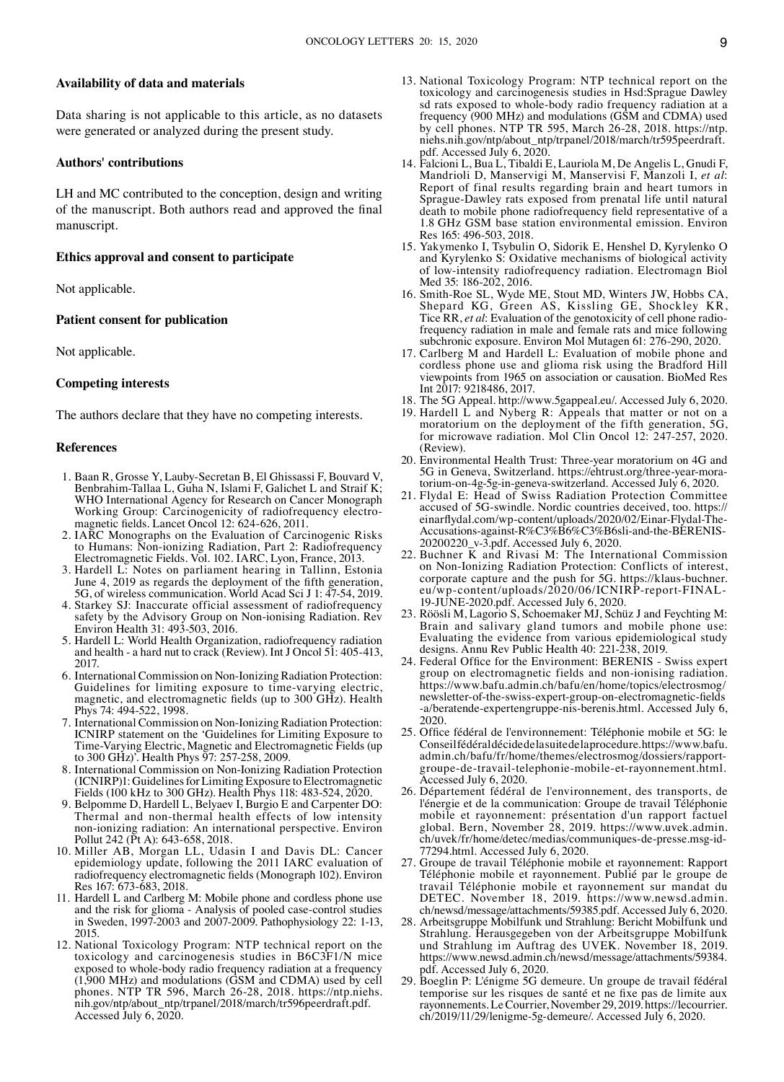## **Availability of data and materials**

Data sharing is not applicable to this article, as no datasets were generated or analyzed during the present study.

## **Authors' contributions**

LH and MC contributed to the conception, design and writing of the manuscript. Both authors read and approved the final manuscript.

## **Ethics approval and consent to participate**

Not applicable.

## **Patient consent for publication**

Not applicable.

## **Competing interests**

The authors declare that they have no competing interests.

## **References**

- 1. Baan R, Grosse Y, Lauby-Secretan B, El Ghissassi F, Bouvard V, Benbrahim-Tallaa L, Guha N, Islami F, Galichet L and Straif K; WHO International Agency for Research on Cancer Monograph Working Group: Carcinogenicity of radiofrequency electro- magnetic fields. Lancet Oncol 12: 624-626, 2011.
- 2. IARC Monographs on the Evaluation of Carcinogenic Risks to Humans: Non-ionizing Radiation, Part 2: Radiofrequency Electromagnetic Fields. Vol. 102. IARC, Lyon, France, 2013.
- 3. Hardell L: Notes on parliament hearing in Tallinn, Estonia June 4, 2019 as regards the deployment of the fifth generation, 5G, of wireless communication. World Acad Sci J 1: 47-54, 2019.
- 4. Starkey SJ: Inaccurate official assessment of radiofrequency safety by the Advisory Group on Non-ionising Radiation. Rev Environ Health 31: 493-503, 2016.
- 5. Hardell L: World Health Organization, radiofrequency radiation and health - a hard nut to crack (Review). Int J Oncol 51: 405-413, 2017.
- 6. International Commission on Non-Ionizing Radiation Protection: Guidelines for limiting exposure to time-varying electric, magnetic, and electromagnetic fields (up to 300 GHz). Health Phys 74: 494-522, 1998.
- 7. International Commission on Non-Ionizing Radiation Protection: ICNIRP statement on the 'Guidelines for Limiting Exposure to Time-Varying Electric, Magnetic and Electromagnetic Fields (up to 300 GHz)'. Health Phys 97: 257-258, 2009.
- 8. International Commission on Non-Ionizing Radiation Protection (ICNIRP)1: Guidelines for Limiting Exposure to Electromagnetic Fields (100 kHz to 300 GHz). Health Phys 118: 483-524, 2020.
- 9. Belpomme D, Hardell L, Belyaev I, Burgio E and Carpenter DO: Thermal and non-thermal health effects of low intensity non-ionizing radiation: An international perspective. Environ Pollut 242 (Pt A): 643-658, 2018.
- 10. Miller AB, Morgan LL, Udasin I and Davis DL: Cancer epidemiology update, following the 2011 IARC evaluation of radiofrequency electromagnetic fields (Monograph 102). Environ Res 167: 673-683, 2018.
- 11. Hardell L and Carlberg M: Mobile phone and cordless phone use and the risk for glioma - Analysis of pooled case-control studies in Sweden, 1997-2003 and 2007-2009. Pathophysiology 22: 1-13, 2015.
- 12. National Toxicology Program: NTP technical report on the toxicology and carcinogenesis studies in B6C3F1/N mice exposed to whole-body radio frequency radiation at a frequency (1,900 MHz) and modulations (GSM and CDMA) used by cell phones. NTP TR 596, March 26-28, 2018. https://ntp.niehs. nih.gov/ntp/about\_ntp/trpanel/2018/march/tr596peerdraft.pdf. Accessed July 6, 2020.
- 13. National Toxicology Program: NTP technical report on the toxicology and carcinogenesis studies in Hsd:Sprague Dawley sd rats exposed to whole-body radio frequency radiation at a frequency (900 MHz) and modulations (GSM and CDMA) used by cell phones. NTP TR 595, March 26-28, 2018. https://ntp. niehs.nih.gov/ntp/about\_ntp/trpanel/2018/march/tr595peerdraft. pdf. Accessed July 6, 2020.
- 14. Falcioni L, Bua L, Tibaldi E, Lauriola M, De Angelis L, Gnudi F, Mandrioli D, Manservigi M, Manservisi F, Manzoli I, *et al*: Report of final results regarding brain and heart tumors in Sprague-Dawley rats exposed from prenatal life until natural death to mobile phone radiofrequency field representative of a 1.8 GHz GSM base station environmental emission. Environ Res 165: 496-503, 2018.
- 15. Yakymenko I, Tsybulin O, Sidorik E, Henshel D, Kyrylenko O and Kyrylenko S: Oxidative mechanisms of biological activity of low-intensity radiofrequency radiation. Electromagn Biol Med 35: 186-202, 2016.
- 16. Smith-Roe SL, Wyde ME, Stout MD, Winters JW, Hobbs CA, Shepard KG, Green AS, Kissling GE, Shockley KR, Tice RR, *et al*: Evaluation of the genotoxicity of cell phone radiofrequency radiation in male and female rats and mice following subchronic exposure. Environ Mol Mutagen 61: 276-290, 2020.
- 17. Carlberg M and Hardell L: Evaluation of mobile phone and cordless phone use and glioma risk using the Bradford Hill viewpoints from 1965 on association or causation. BioMed Res Int 2017: 9218486, 2017.
- 18. The 5G Appeal. http://www.5gappeal.eu/. Accessed July 6, 2020.
- 19. Hardell L and Nyberg R: Appeals that matter or not on a moratorium on the deployment of the fifth generation, 5G, for microwave radiation. Mol Clin Oncol 12: 247-257, 2020. (Review).
- 20. Environmental Health Trust: Three-year moratorium on 4G and 5G in Geneva, Switzerland. https://ehtrust.org/three-year-moratorium-on-4g-5g-in-geneva-switzerland. Accessed July 6, 2020.
- 21. Flydal E: Head of Swiss Radiation Protection Committee accused of 5G-swindle. Nordic countries deceived, too. https:// einarflydal.com/wp-content/uploads/2020/02/Einar-Flydal-The-Accusations-against-R%C3%B6%C3%B6sli-and-the-BERENIS-20200220\_v-3.pdf. Accessed July 6, 2020.
- 22. Buchner K and Rivasi M: The International Commission on Non-Ionizing Radiation Protection: Conflicts of interest, corporate capture and the push for 5G. https://klaus-buchner. eu/wp-content/uploads/2020/06/ICNIRP-report-FINAL-19-JUNE-2020.pdf. Accessed July 6, 2020.
- 23. Röösli M, Lagorio S, Schoemaker MJ, Schüz J and Feychting M: Brain and salivary gland tumors and mobile phone use: Evaluating the evidence from various epidemiological study designs. Annu Rev Public Health 40: 221-238, 2019.
- 24. Federal Office for the Environment: BERENIS Swiss expert group on electromagnetic fields and non-ionising radiation. https://www.bafu.admin.ch/bafu/en/home/topics/electrosmog/ newsletter-of-the-swiss-expert-group-on-electromagnetic-fields -a/beratende-expertengruppe-nis-berenis.html. Accessed July 6, 2020.
- 25. Office fédéral de l'environnement: Téléphonie mobile et 5G: le Conseil fédéral décide de la suite de la procedure. https://www.bafu. admin.ch/bafu/fr/home/themes/electrosmog/dossiers/rapportgroupe-de-travail-telephonie-mobile-et-rayonnement.html. Accessed July 6, 2020.
- 26. Département fédéral de l'environnement, des transports, de l'énergie et de la communication: Groupe de travail Téléphonie mobile et rayonnement: présentation d'un rapport factuel global. Bern, November 28, 2019. https://www.uvek.admin. ch/uvek/fr/home/detec/medias/communiques-de-presse.msg-id-77294.html. Accessed July 6, 2020.
- 27. Groupe de travail Téléphonie mobile et rayonnement: Rapport Téléphonie mobile et rayonnement. Publié par le groupe de travail Téléphonie mobile et rayonnement sur mandat du DETEC. November 18, 2019. https://www.newsd.admin. ch/newsd/message/attachments/59385.pdf. Accessed July 6, 2020.
- 28. Arbeitsgruppe Mobilfunk und Strahlung: Bericht Mobilfunk und Strahlung. Herausgegeben von der Arbeitsgruppe Mobilfunk und Strahlung im Auftrag des UVEK. November 18, 2019. https://www.newsd.admin.ch/newsd/message/attachments/59384. pdf. Accessed July 6, 2020.
- 29. Boeglin P: L'énigme 5G demeure. Un groupe de travail fédéral temporise sur les risques de santé et ne fixe pas de limite aux rayonnements. Le Courrier, November 29, 2019. https://lecourrier. ch/2019/11/29/lenigme-5g-demeure/. Accessed July 6, 2020.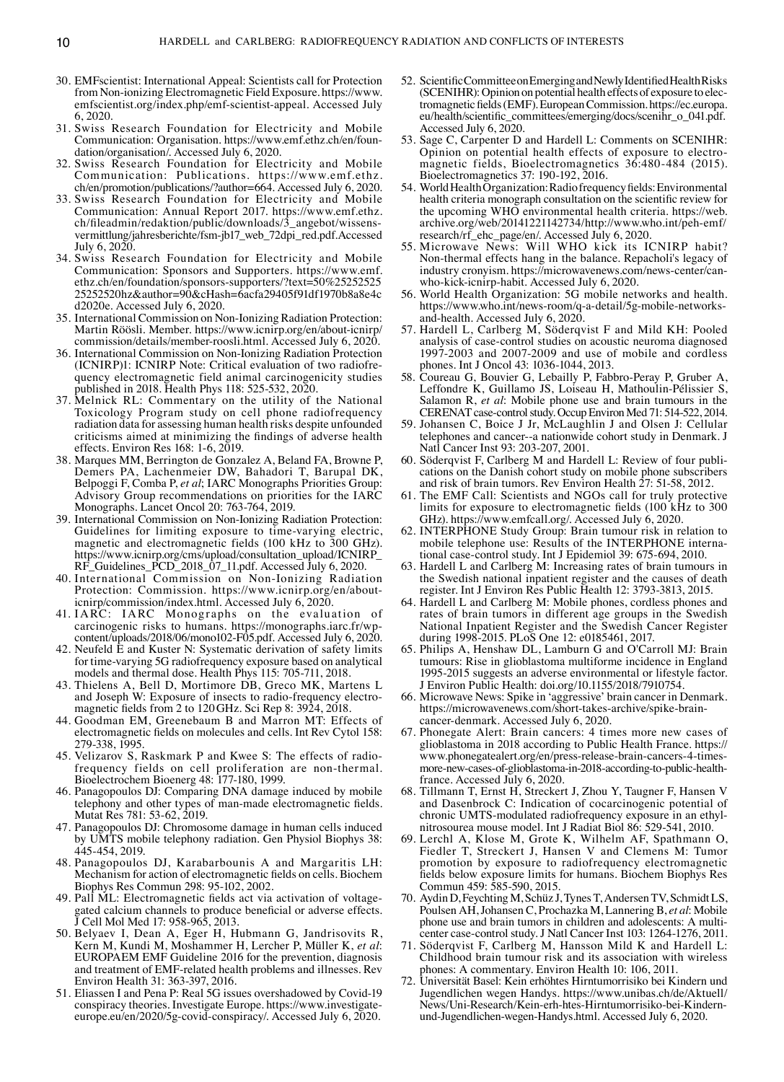- 30. EMFscientist: International Appeal: Scientists call for Protection from Non-ionizing Electromagnetic Field Exposure. https://www. emfscientist.org/index.php/emf-scientist-appeal. Accessed July 6, 2020.
- 31. Swiss Research Foundation for Electricity and Mobile Communication: Organisation. https://www.emf.ethz.ch/en/foundation/organisation/. Accessed July 6, 2020.
- 32. Swiss Research Foundation for Electricity and Mobile Communication: Publications. https://www.emf.ethz. ch/en/promotion/publications/?author=664. Accessed July 6, 2020.
- 33. Swiss Research Foundation for Electricity and Mobile Communication: Annual Report 2017. https://www.emf.ethz. ch/fileadmin/redaktion/public/downloads/3\_angebot/wissensvermittlung/jahresberichte/fsm-jb17\_web\_72dpi\_red.pdf. Accessed July 6, 2020.
- 34. Swiss Research Foundation for Electricity and Mobile Communication: Sponsors and Supporters. https://www.emf. ethz.ch/en/foundation/sponsors-supporters/?text=50%2525252525 25252520hz&author=90&cHash=6acfa29405f91df1970b8a8e4c d2020e. Accessed July 6, 2020.
- 35. International Commission on Non-Ionizing Radiation Protection: Martin Röösli. Member. https://www.icnirp.org/en/about-icnirp/ commission/details/member-roosli.html. Accessed July 6, 2020.
- 36. International Commission on Non-Ionizing Radiation Protection (ICNIRP)1: ICNIRP Note: Critical evaluation of two radiofrequency electromagnetic field animal carcinogenicity studies published in 2018. Health Phys 118: 525-532, 2020.
- 37. Melnick RL: Commentary on the utility of the National Toxicology Program study on cell phone radiofrequency radiation data for assessing human health risks despite unfounded criticisms aimed at minimizing the findings of adverse health effects. Environ Res 168: 1-6, 2019.
- 38. Marques MM, Berrington de Gonzalez A, Beland FA, Browne P, Demers PA, Lachenmeier DW, Bahadori T, Barupal DK, Belpoggi F, Comba P, *et al*; IARC Monographs Priorities Group: Advisory Group recommendations on priorities for the IARC Monographs. Lancet Oncol 20: 763-764, 2019.
- 39. International Commission on Non-Ionizing Radiation Protection: Guidelines for limiting exposure to time-varying electric, magnetic and electromagnetic fields (100 kHz to 300 GHz). https://www.icnirp.org/cms/upload/consultation\_upload/ICNIRP\_ RF\_Guidelines\_PCD\_2018\_07\_11.pdf. Accessed July 6, 2020.
- 40. International Commission on Non-Ionizing Radiation Protection: Commission. https://www.icnirp.org/en/abouticnirp/commission/index.html. Accessed July 6, 2020.
- 41. IARC: IARC Monographs on the evaluation of carcinogenic risks to humans. https://monographs.iarc.fr/wpcontent/uploads/2018/06/mono102-F05.pdf. Accessed July 6, 2020.
- 42. Neufeld E and Kuster N: Systematic derivation of safety limits for time-varying 5G radiofrequency exposure based on analytical models and thermal dose. Health Phys 115: 705-711, 2018.
- 43. Thielens A, Bell D, Mortimore DB, Greco MK, Martens L and Joseph W: Exposure of insects to radio-frequency electromagnetic fields from 2 to 120GHz. Sci Rep 8: 3924, 2018.
- 44. Goodman EM, Greenebaum B and Marron MT: Effects of electromagnetic fields on molecules and cells. Int Rev Cytol 158: 279-338, 1995.
- 45. Velizarov S, Raskmark P and Kwee S: The effects of radiofrequency fields on cell proliferation are non-thermal. Bioelectrochem Bioenerg 48: 177-180, 1999.
- 46. Panagopoulos DJ: Comparing DNA damage induced by mobile telephony and other types of man-made electromagnetic fields. Mutat Res 781: 53-62, 2019.
- 47. Panagopoulos DJ: Chromosome damage in human cells induced by UMTS mobile telephony radiation. Gen Physiol Biophys 38: 445-454, 2019.
- 48. Panagopoulos DJ, Karabarbounis A and Margaritis LH: Mechanism for action of electromagnetic fields on cells. Biochem Biophys Res Commun 298: 95-102, 2002.
- 49. Pall ML: Electromagnetic fields act via activation of voltagegated calcium channels to produce beneficial or adverse effects. J Cell Mol Med 17: 958-965, 2013.
- 50. Belyaev I, Dean A, Eger H, Hubmann G, Jandrisovits R, Kern M, Kundi M, Moshammer H, Lercher P, Müller K, *et al*: EUROPAEM EMF Guideline 2016 for the prevention, diagnosis and treatment of EMF-related health problems and illnesses. Rev Environ Health 31: 363-397, 2016.
- 51. Eliassen I and Pena P: Real 5G issues overshadowed by Covid-19 conspiracy theories. Investigate Europe. https://www.investigateeurope.eu/en/2020/5g-covid-conspiracy/. Accessed July 6, 2020.
- 52. Scientific Committee on Emerging and Newly Identified Health Risks (SCENIHR): Opinion on potential health effects of exposure to electromagnetic fields (EMF). European Commission. https://ec.europa. eu/health/scientific\_committees/emerging/docs/scenihr\_o\_041.pdf. Accessed July 6, 2020.
- 53. Sage C, Carpenter D and Hardell L: Comments on SCENIHR: Opinion on potential health effects of exposure to electromagnetic fields, Bioelectromagnetics 36:480-484 (2015). Bioelectromagnetics 37: 190-192, 2016.
- 54. World Health Organization: Radio frequency fields: Environmental health criteria monograph consultation on the scientific review for the upcoming WHO environmental health criteria. https://web. archive.org/web/20141221142734/http://www.who.int/peh-emf/ research/rf\_ehc\_page/en/. Accessed July 6, 2020.
- 55. Microwave News: Will WHO kick its ICNIRP habit? Non-thermal effects hang in the balance. Repacholi's legacy of industry cronyism. https://microwavenews.com/news-center/canwho-kick-icnirp-habit. Accessed July 6, 2020.
- 56. World Health Organization: 5G mobile networks and health. https://www.who.int/news-room/q-a-detail/5g-mobile-networksand-health. Accessed July 6, 2020.
- 57. Hardell L, Carlberg M, Söderqvist F and Mild KH: Pooled analysis of case-control studies on acoustic neuroma diagnosed 1997-2003 and 2007-2009 and use of mobile and cordless phones. Int J Oncol 43: 1036-1044, 2013.
- 58. Coureau G, Bouvier G, Lebailly P, Fabbro-Peray P, Gruber A, Leffondre K, Guillamo JS, Loiseau H, Mathoulin-Pélissier S, Salamon R, *et al*: Mobile phone use and brain tumours in the CERENAT case-control study. Occup Environ Med 71: 514-522, 2014.
- 59. Johansen C, Boice J Jr, McLaughlin J and Olsen J: Cellular telephones and cancer--a nationwide cohort study in Denmark. J Natl Cancer Inst 93: 203-207, 2001.
- 60. Söderqvist F, Carlberg M and Hardell L: Review of four publications on the Danish cohort study on mobile phone subscribers and risk of brain tumors. Rev Environ Health 27: 51-58, 2012.
- 61. The EMF Call: Scientists and NGOs call for truly protective limits for exposure to electromagnetic fields (100 kHz to 300 GHz). https://www.emfcall.org/. Accessed July 6, 2020.
- 62. INTERPHONE Study Group: Brain tumour risk in relation to mobile telephone use: Results of the INTERPHONE international case-control study. Int J Epidemiol 39: 675-694, 2010.
- 63. Hardell L and Carlberg M: Increasing rates of brain tumours in the Swedish national inpatient register and the causes of death register. Int J Environ Res Public Health 12: 3793-3813, 2015.
- 64. Hardell L and Carlberg M: Mobile phones, cordless phones and rates of brain tumors in different age groups in the Swedish National Inpatient Register and the Swedish Cancer Register during 1998-2015. PLoS One 12: e0185461, 2017.
- 65. Philips A, Henshaw DL, Lamburn G and O'Carroll MJ: Brain tumours: Rise in glioblastoma multiforme incidence in England 1995-2015 suggests an adverse environmental or lifestyle factor. J Environ Public Health: doi.org/10.1155/2018/7910754.
- 66. Microwave News: Spike in 'aggressive' brain cancer in Denmark. https://microwavenews.com/short-takes-archive/spike-braincancer-denmark. Accessed July 6, 2020.
- 67. Phonegate Alert: Brain cancers: 4 times more new cases of glioblastoma in 2018 according to Public Health France. https:// www.phonegatealert.org/en/press-release-brain-cancers-4-timesmore-new-cases-of-glioblastoma-in-2018-according-to-public-healthfrance. Accessed July 6, 2020.
- 68. Tillmann T, Ernst H, Streckert J, Zhou Y, Taugner F, Hansen V and Dasenbrock C: Indication of cocarcinogenic potential of chronic UMTS-modulated radiofrequency exposure in an ethylnitrosourea mouse model. Int J Radiat Biol 86: 529-541, 2010.
- 69. Lerchl A, Klose M, Grote K, Wilhelm AF, Spathmann O, Fiedler T, Streckert J, Hansen V and Clemens M: Tumor promotion by exposure to radiofrequency electromagnetic fields below exposure limits for humans. Biochem Biophys Res Commun 459: 585-590, 2015.
- 70. Aydin D, Feychting M, Schüz J, Tynes T, Andersen TV, SchmidtLS, Poulsen AH, Johansen C, Prochazka M, Lannering B, *et al*: Mobile center case-control study. J Natl Cancer Inst 103: 1264-1276, 2011.
- 71. Söderqvist F, Carlberg M, Hansson Mild K and Hardell L: Childhood brain tumour risk and its association with wireless phones: A commentary. Environ Health 10: 106, 2011.
- 72. Universität Basel: Kein erhöhtes Hirntumorrisiko bei Kindern und Jugendlichen wegen Handys. https://www.unibas.ch/de/Aktuell/ News/Uni-Research/Kein-erh-htes-Hirntumorrisiko-bei-Kindernund-Jugendlichen-wegen-Handys.html. Accessed July 6, 2020.